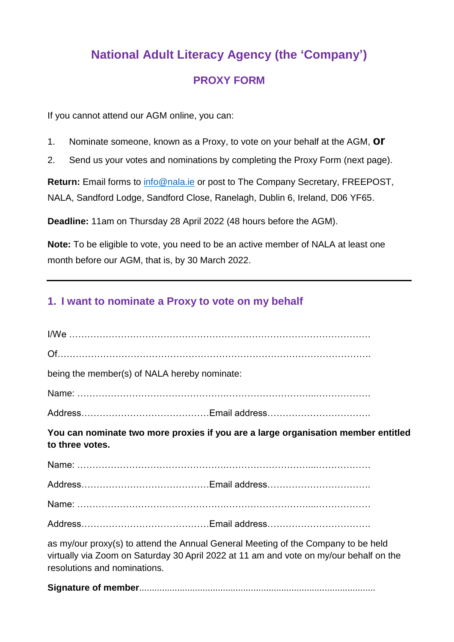## **National Adult Literacy Agency (the 'Company') PROXY FORM**

If you cannot attend our AGM online, you can:

- 1. Nominate someone, known as a Proxy, to vote on your behalf at the AGM, **or**
- 2. Send us your votes and nominations by completing the Proxy Form (next page).

**Return:** Email forms to [info@nala.ie](mailto:info@nala.ie) or post to The Company Secretary, FREEPOST, NALA, Sandford Lodge, Sandford Close, Ranelagh, Dublin 6, Ireland, D06 YF65.

**Deadline:** 11am on Thursday 28 April 2022 (48 hours before the AGM).

**Note:** To be eligible to vote, you need to be an active member of NALA at least one month before our AGM, that is, by 30 March 2022.

## **1. I want to nominate a Proxy to vote on my behalf**

| being the member(s) of NALA hereby nominate:                                                                                                                                                                |
|-------------------------------------------------------------------------------------------------------------------------------------------------------------------------------------------------------------|
|                                                                                                                                                                                                             |
|                                                                                                                                                                                                             |
| You can nominate two more proxies if you are a large organisation member entitled<br>to three votes.                                                                                                        |
|                                                                                                                                                                                                             |
|                                                                                                                                                                                                             |
|                                                                                                                                                                                                             |
|                                                                                                                                                                                                             |
| as my/our proxy(s) to attend the Annual General Meeting of the Company to be held<br>virtually via Zoom on Saturday 30 April 2022 at 11 am and vote on my/our behalf on the<br>resolutions and nominations. |

**Signature of member**.............................................................................................